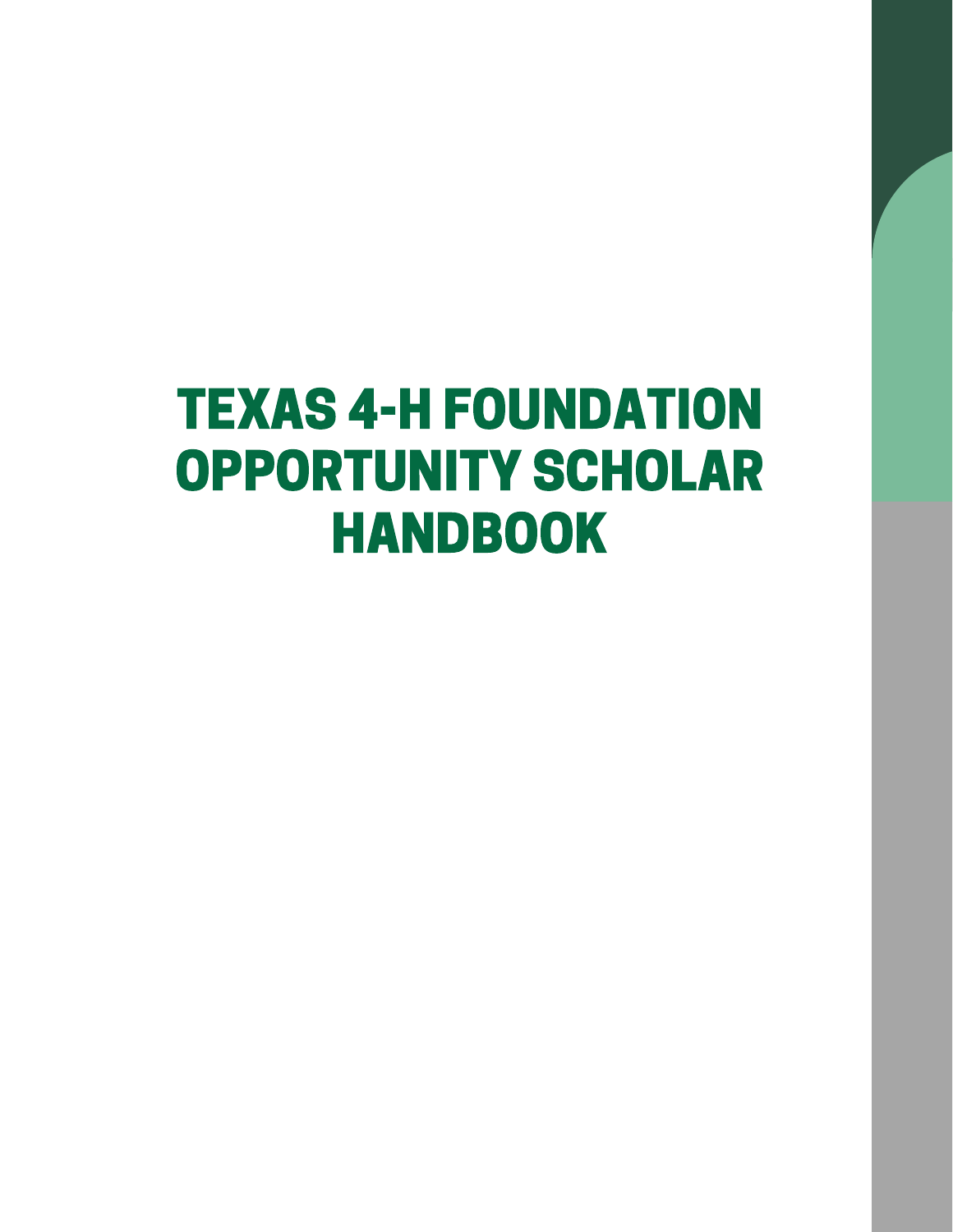# TEXAS 4-H FOUNDATION OPPORTUNITY SCHOLAR HANDBOOK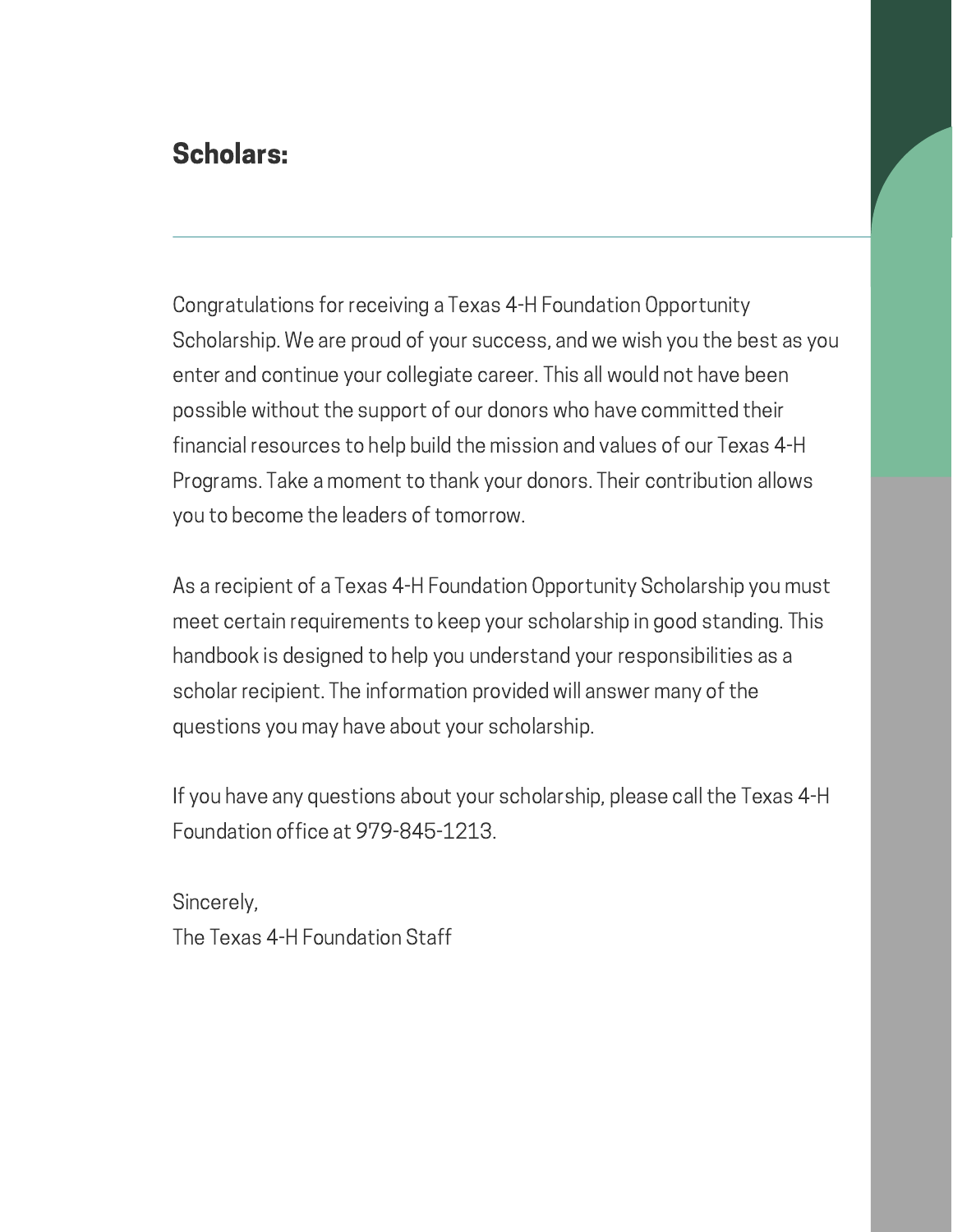### Scholars:

Congratulations for receiving a Texas 4-H Foundation Opportunity Scholarship. We are proud of your success, and we wish you the best as you enter and continue your collegiate career. This all would not have been possible without the support of our donors who have committed their financial resources to help build the mission and values of our Texas 4-H Programs. Take a moment to thank your donors. Their contribution allows you to become the leaders of tomorrow.

As a recipient of a Texas 4-H Foundation Opportunity Scholarship you must meet certain requirements to keep your scholarship in good standing. This handbook is designed to help you understand your responsibilities as a scholar recipient. The information provided will answer many of the questions you may have about your scholarship.

If you have any questions about your scholarship, please call the Texas 4-H Foundation office at 979-845-1213.

Sincerely, The Texas 4-H Foundation Staff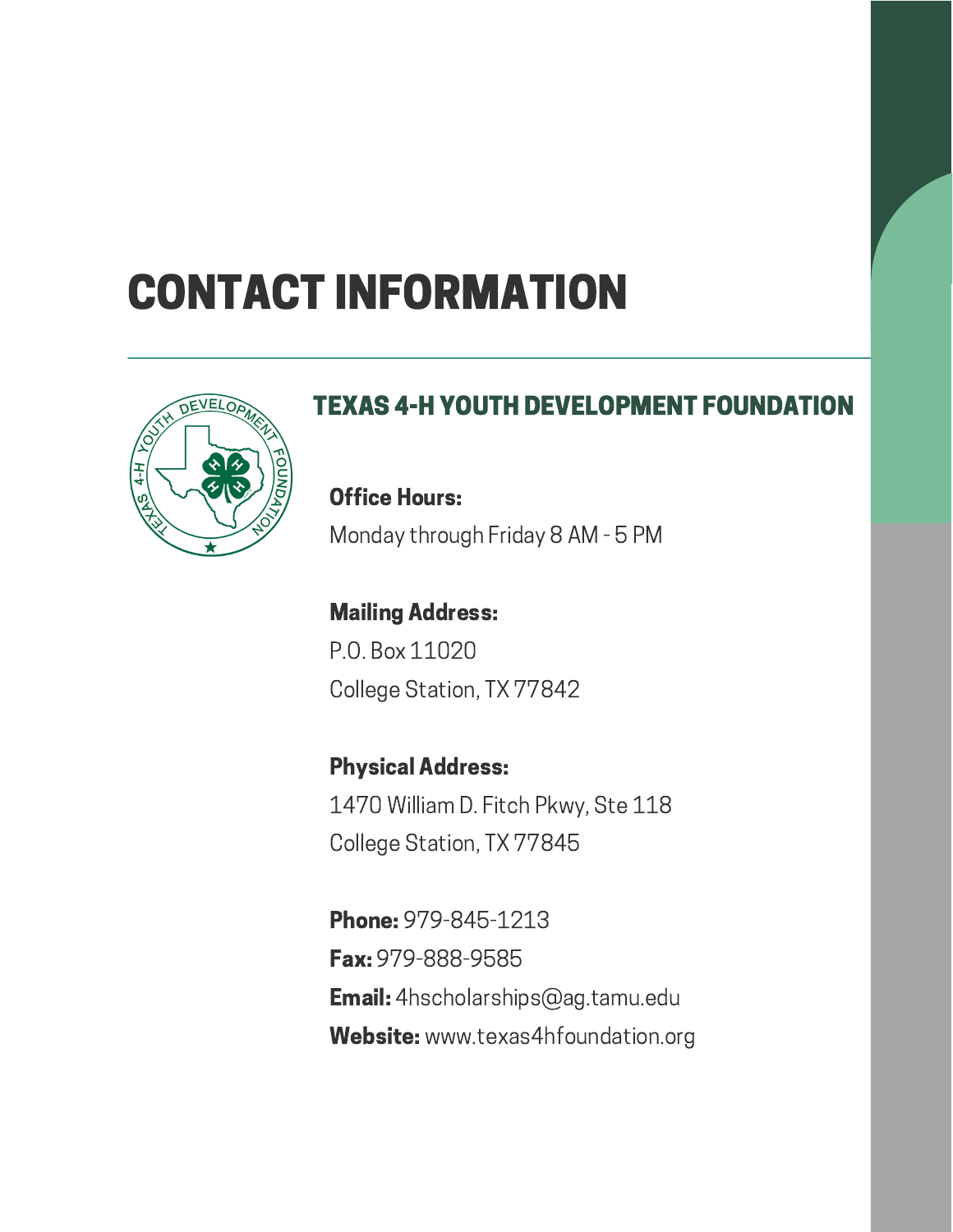## CONTACT INFORMATION



### TEXAS 4-H YOUTH DEVELOPMENT FOUNDATION

Office Hours: Monday through Friday 8 AM - 5 PM

Mailing Address: P.O. Box 11020 College Station, TX 77842

Physical Address: 1470 William D. Fitch Pkwy, Ste 118 College Station, TX 77845

Phone: 979-845-1213 Fax: 979-888-9585 Email: 4hscholarships@ag.tamu.edu Website: www.texas4hfoundation.org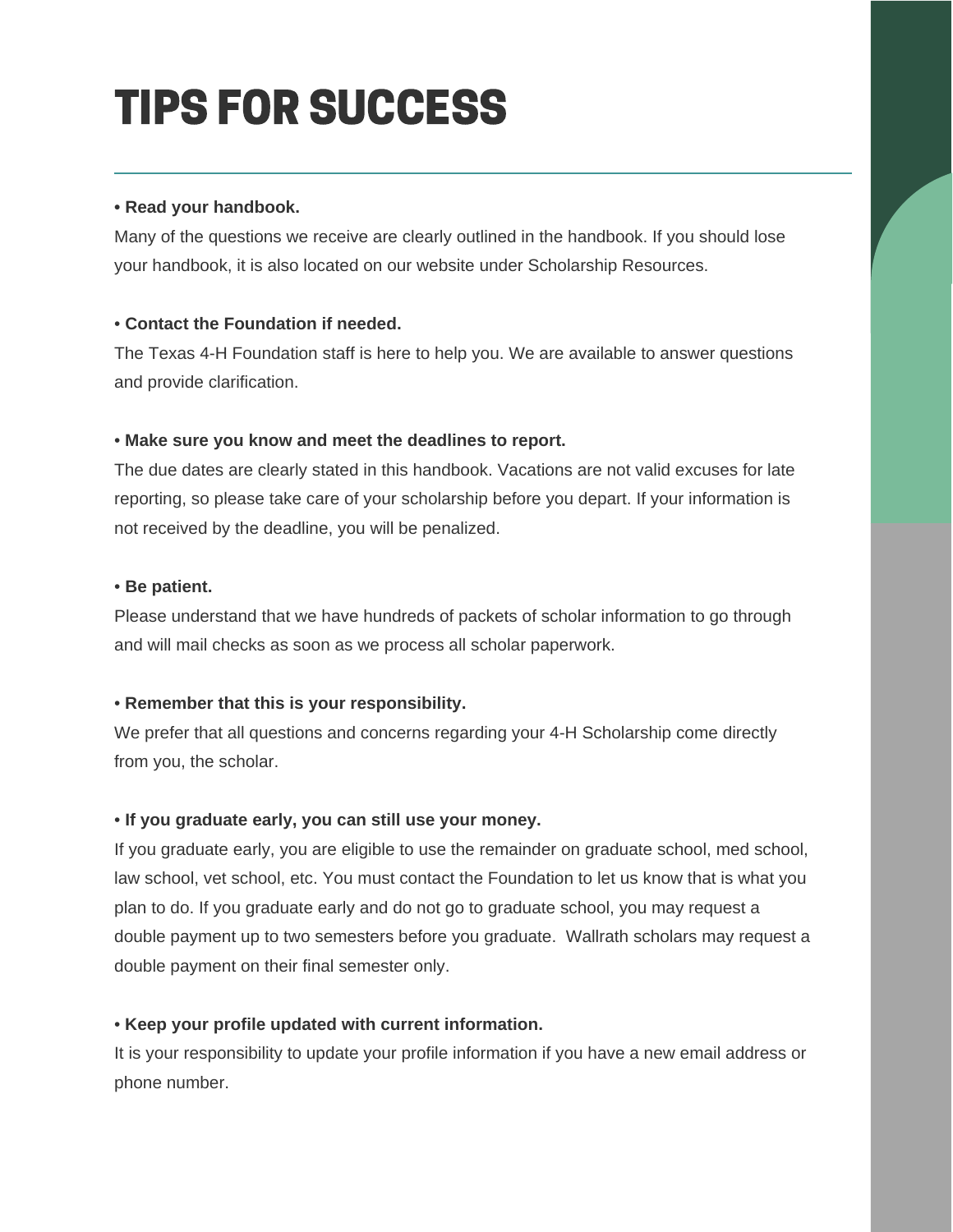## TIPS FOR SUCCESS

#### **• Read your handbook.**

Many of the questions we receive are clearly outlined in the handbook. If you should lose your handbook, it is also located on our website under Scholarship Resources.

#### • **Contact the Foundation if needed.**

The Texas 4-H Foundation staff is here to help you. We are available to answer questions and provide clarification.

#### • **Make sure you know and meet the deadlines to report.**

The due dates are clearly stated in this handbook. Vacations are not valid excuses for late reporting, so please take care of your scholarship before you depart. If your information is not received by the deadline, you will be penalized.

#### • **Be patient.**

Please understand that we have hundreds of packets of scholar information to go through and will mail checks as soon as we process all scholar paperwork.

#### • **Remember that this is your responsibility.**

We prefer that all questions and concerns regarding your 4-H Scholarship come directly from you, the scholar.

#### • **If you graduate early, you can still use your money.**

If you graduate early, you are eligible to use the remainder on graduate school, med school, law school, vet school, etc. You must contact the Foundation to let us know that is what you plan to do. If you graduate early and do not go to graduate school, you may request a double payment up to two semesters before you graduate. Wallrath scholars may request a double payment on their final semester only.

#### • **Keep your profile updated with current information.**

It is your responsibility to update your profile information if you have a new email address or phone number.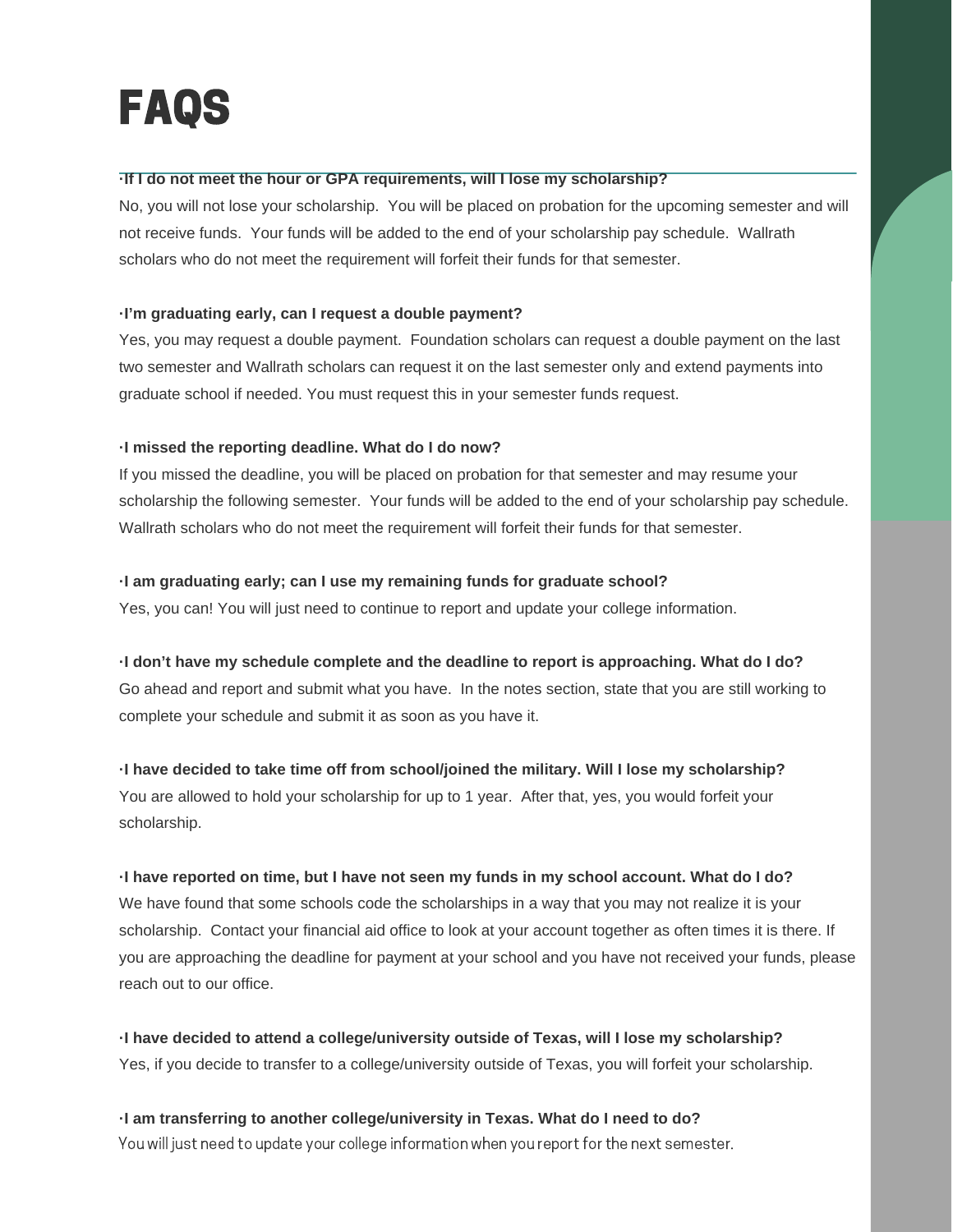### FAQS

#### **·If I do not meet the hour or GPA requirements, will I lose my scholarship?**

No, you will not lose your scholarship. You will be placed on probation for the upcoming semester and will not receive funds. Your funds will be added to the end of your scholarship pay schedule. Wallrath scholars who do not meet the requirement will forfeit their funds for that semester.

#### **·I'm graduating early, can I request a double payment?**

Yes, you may request a double payment. Foundation scholars can request a double payment on the last two semester and Wallrath scholars can request it on the last semester only and extend payments into graduate school if needed. You must request this in your semester funds request.

#### **·I missed the reporting deadline. What do I do now?**

If you missed the deadline, you will be placed on probation for that semester and may resume your scholarship the following semester. Your funds will be added to the end of your scholarship pay schedule. Wallrath scholars who do not meet the requirement will forfeit their funds for that semester.

#### **·I am graduating early; can I use my remaining funds for graduate school?**

Yes, you can! You will just need to continue to report and update your college information.

**·I don't have my schedule complete and the deadline to report is approaching. What do I do?**

Go ahead and report and submit what you have. In the notes section, state that you are still working to complete your schedule and submit it as soon as you have it.

#### **·I have decided to take time off from school/joined the military. Will I lose my scholarship?**

You are allowed to hold your scholarship for up to 1 year. After that, yes, you would forfeit your scholarship.

#### I have reported on time, but I have not seen my funds in my school account. What do I do?

We have found that some schools code the scholarships in a way that you may not realize it is your scholarship. Contact your financial aid office to look at your account together as often times it is there. If you are approaching the deadline for payment at your school and you have not received your funds, please reach out to our office.

**·I have decided to attend a college/university outside of Texas, will I lose my scholarship?** Yes, if you decide to transfer to a college/university outside of Texas, you will forfeit your scholarship.

**·I am transferring to another college/university in Texas. What do I need to do?** You will just need to update your college information when you report for the next semester.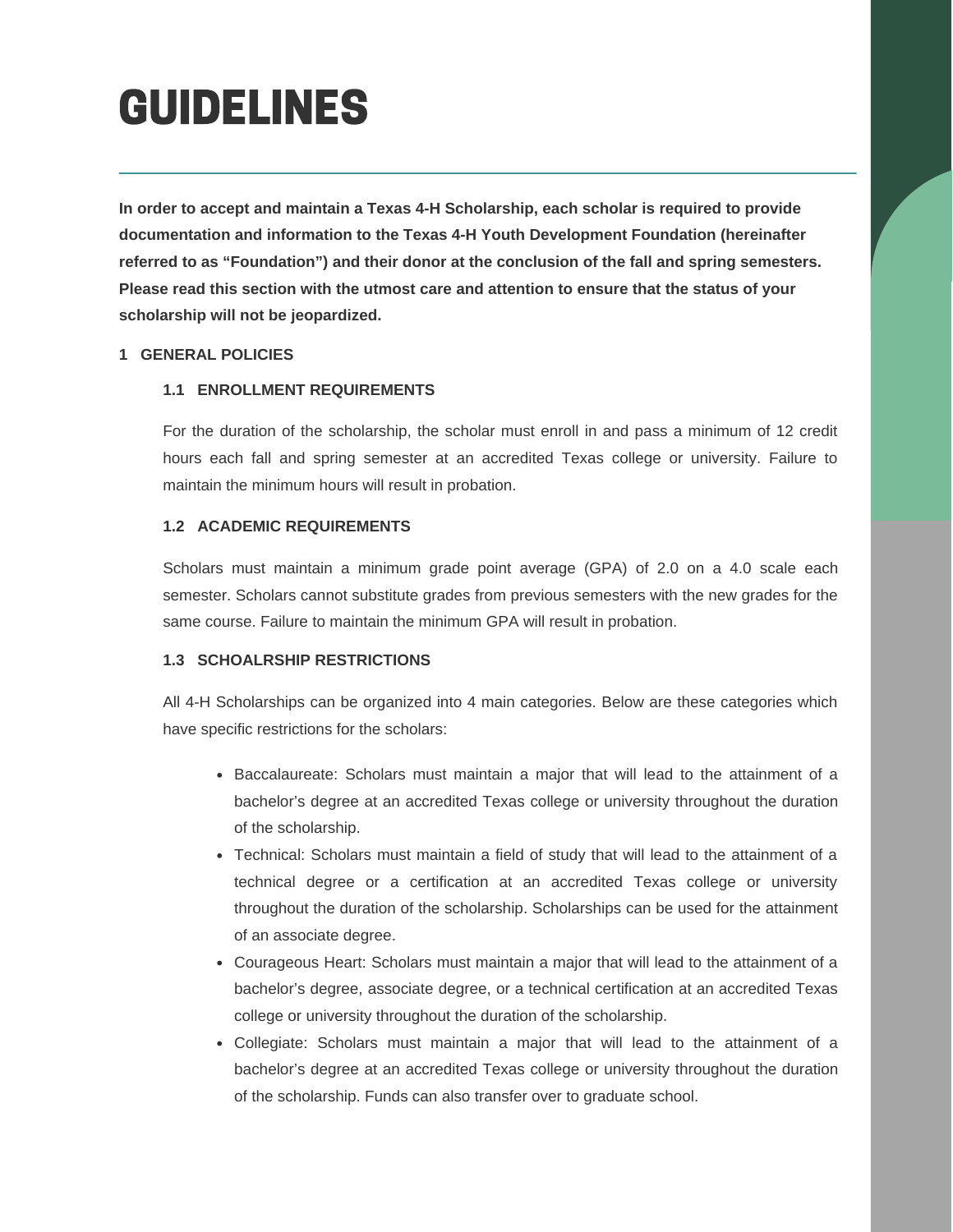**In order to accept and maintain a Texas 4-H Scholarship, each scholar is required to provide documentation and information to the Texas 4-H Youth Development Foundation (hereinafter referred to as "Foundation") and their donor at the conclusion of the fall and spring semesters. Please read this section with the utmost care and attention to ensure that the status of your scholarship will not be jeopardized.**

#### **1 GENERAL POLICIES**

#### **1.1 ENROLLMENT REQUIREMENTS**

For the duration of the scholarship, the scholar must enroll in and pass a minimum of 12 credit hours each fall and spring semester at an accredited Texas college or university. Failure to maintain the minimum hours will result in probation.

#### **1.2 ACADEMIC REQUIREMENTS**

Scholars must maintain a minimum grade point average (GPA) of 2.0 on a 4.0 scale each semester. Scholars cannot substitute grades from previous semesters with the new grades for the same course. Failure to maintain the minimum GPA will result in probation.

#### **1.3 SCHOALRSHIP RESTRICTIONS**

All 4-H Scholarships can be organized into 4 main categories. Below are these categories which have specific restrictions for the scholars:

- Baccalaureate: Scholars must maintain a major that will lead to the attainment of a bachelor's degree at an accredited Texas college or university throughout the duration of the scholarship.
- Technical: Scholars must maintain a field of study that will lead to the attainment of a technical degree or a certification at an accredited Texas college or university throughout the duration of the scholarship. Scholarships can be used for the attainment of an associate degree.
- Courageous Heart: Scholars must maintain a major that will lead to the attainment of a bachelor's degree, associate degree, or a technical certification at an accredited Texas college or university throughout the duration of the scholarship.
- Collegiate: Scholars must maintain a major that will lead to the attainment of a bachelor's degree at an accredited Texas college or university throughout the duration of the scholarship. Funds can also transfer over to graduate school.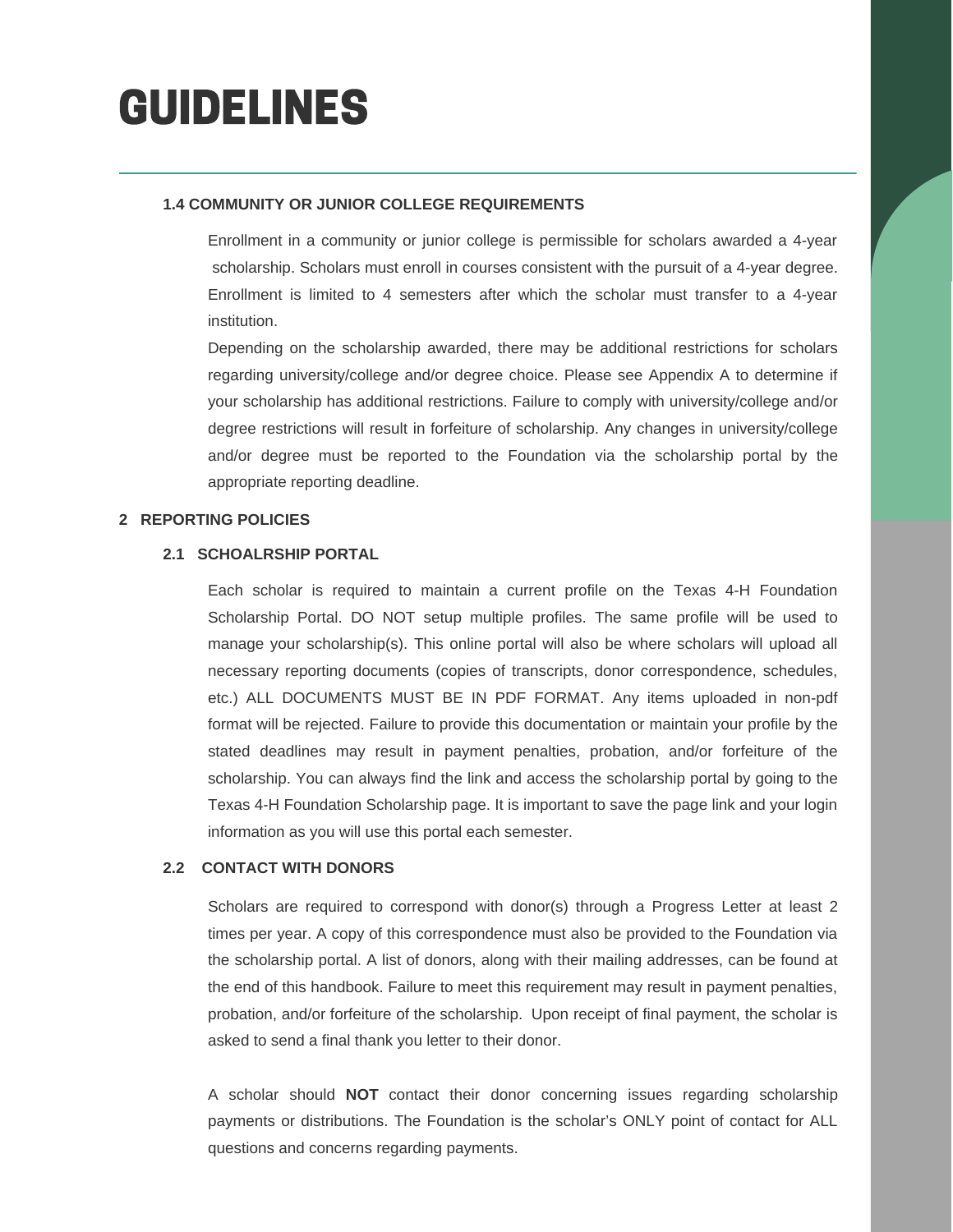#### **1.4 COMMUNITY OR JUNIOR COLLEGE REQUIREMENTS**

Enrollment in a community or junior college is permissible for scholars awarded a 4-year scholarship. Scholars must enroll in courses consistent with the pursuit of a 4-year degree. Enrollment is limited to 4 semesters after which the scholar must transfer to a 4-year institution.

Depending on the scholarship awarded, there may be additional restrictions for scholars regarding university/college and/or degree choice. Please see Appendix A to determine if your scholarship has additional restrictions. Failure to comply with university/college and/or degree restrictions will result in forfeiture of scholarship. Any changes in university/college and/or degree must be reported to the Foundation via the scholarship portal by the appropriate reporting deadline.

#### **2 REPORTING POLICIES**

#### **2.1 SCHOALRSHIP PORTAL**

Each scholar is required to maintain a current profile on the Texas 4-H Foundation Scholarship Portal. DO NOT setup multiple profiles. The same profile will be used to manage your scholarship(s). This online portal will also be where scholars will upload all necessary reporting documents (copies of transcripts, donor correspondence, schedules, etc.) ALL DOCUMENTS MUST BE IN PDF FORMAT. Any items uploaded in non-pdf format will be rejected. Failure to provide this documentation or maintain your profile by the stated deadlines may result in payment penalties, probation, and/or forfeiture of the scholarship. You can always find the link and access the scholarship portal by going to the Texas 4-H Foundation Scholarship page. It is important to save the page link and your login information as you will use this portal each semester.

#### **2.2 CONTACT WITH DONORS**

Scholars are required to correspond with donor(s) through a Progress Letter at least 2 times per year. A copy of this correspondence must also be provided to the Foundation via the scholarship portal. A list of donors, along with their mailing addresses, can be found at the end of this handbook. Failure to meet this requirement may result in payment penalties, probation, and/or forfeiture of the scholarship. Upon receipt of final payment, the scholar is asked to send a final thank you letter to their donor.

A scholar should **NOT** contact their donor concerning issues regarding scholarship payments or distributions. The Foundation is the scholar's ONLY point of contact for ALL questions and concerns regarding payments.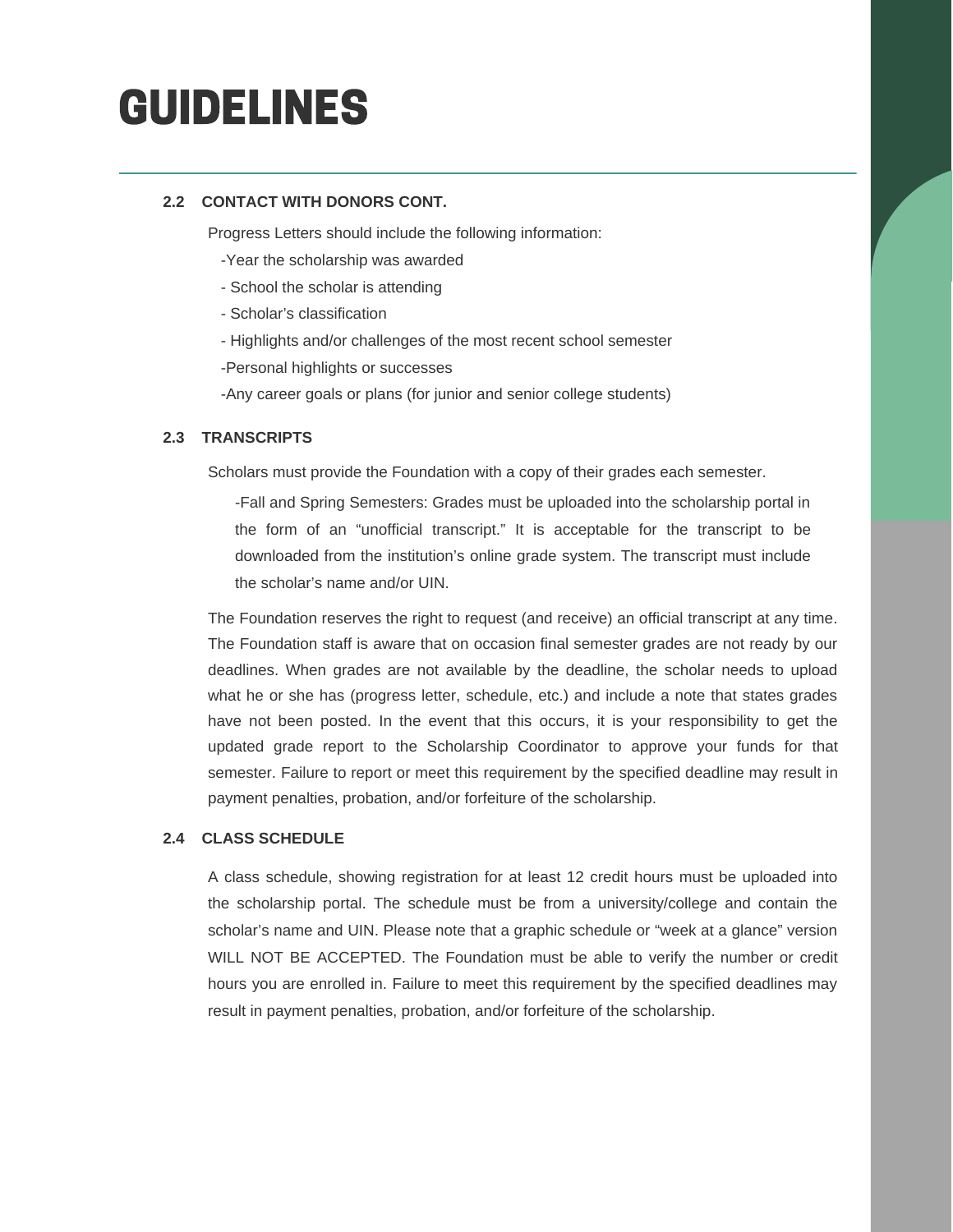#### **2.2 CONTACT WITH DONORS CONT.**

Progress Letters should include the following information:

- -Year the scholarship was awarded
- School the scholar is attending
- Scholar's classification
- Highlights and/or challenges of the most recent school semester
- -Personal highlights or successes
- -Any career goals or plans (for junior and senior college students)

#### **2.3 TRANSCRIPTS**

Scholars must provide the Foundation with a copy of their grades each semester.

-Fall and Spring Semesters: Grades must be uploaded into the scholarship portal in the form of an "unofficial transcript." It is acceptable for the transcript to be downloaded from the institution's online grade system. The transcript must include the scholar's name and/or UIN.

The Foundation reserves the right to request (and receive) an official transcript at any time. The Foundation staff is aware that on occasion final semester grades are not ready by our deadlines. When grades are not available by the deadline, the scholar needs to upload what he or she has (progress letter, schedule, etc.) and include a note that states grades have not been posted. In the event that this occurs, it is your responsibility to get the updated grade report to the Scholarship Coordinator to approve your funds for that semester. Failure to report or meet this requirement by the specified deadline may result in payment penalties, probation, and/or forfeiture of the scholarship.

#### **2.4 CLASS SCHEDULE**

A class schedule, showing registration for at least 12 credit hours must be uploaded into the scholarship portal. The schedule must be from a university/college and contain the scholar's name and UIN. Please note that a graphic schedule or "week at a glance" version WILL NOT BE ACCEPTED. The Foundation must be able to verify the number or credit hours you are enrolled in. Failure to meet this requirement by the specified deadlines may result in payment penalties, probation, and/or forfeiture of the scholarship.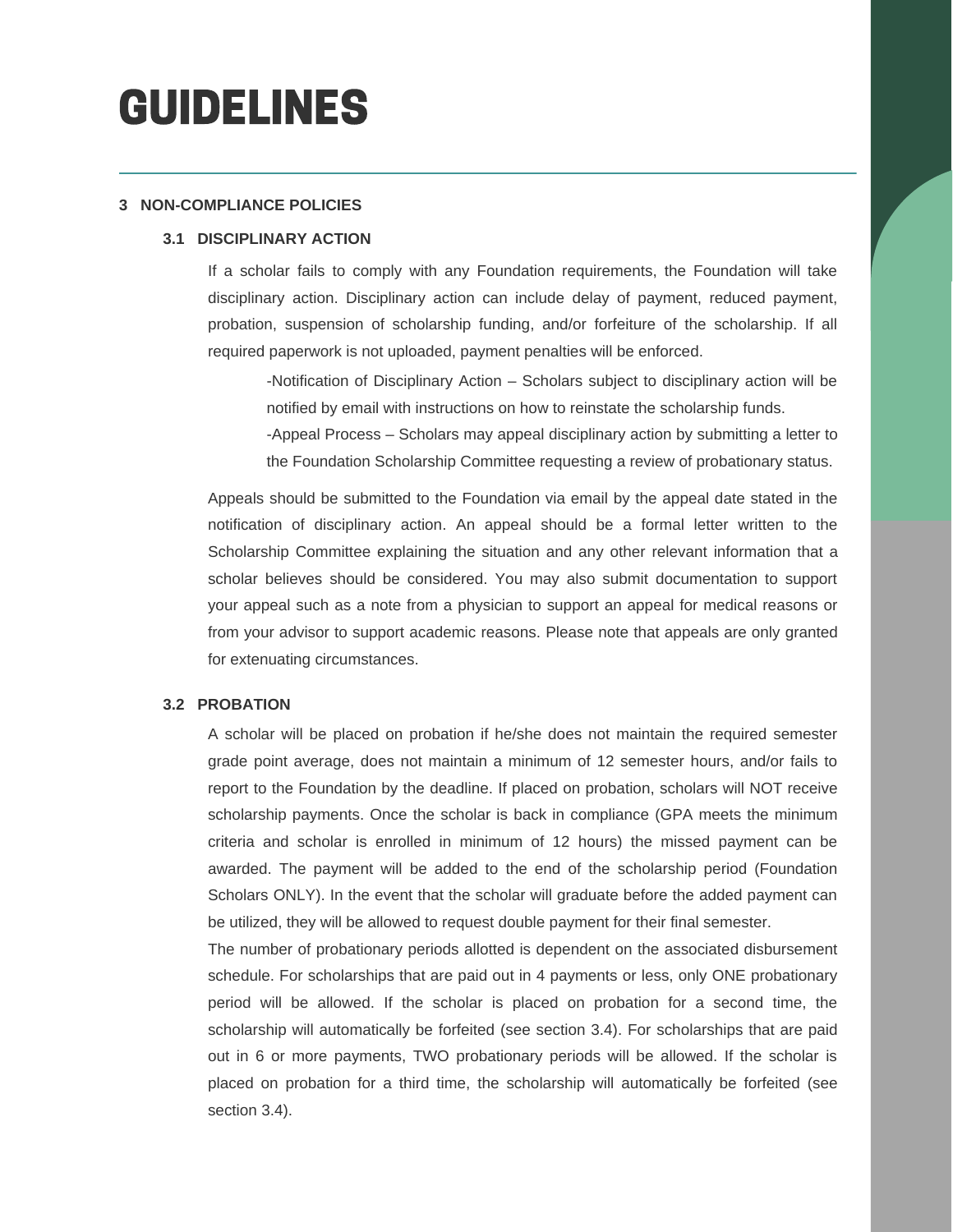#### **3 NON-COMPLIANCE POLICIES**

#### **3.1 DISCIPLINARY ACTION**

If a scholar fails to comply with any Foundation requirements, the Foundation will take disciplinary action. Disciplinary action can include delay of payment, reduced payment, probation, suspension of scholarship funding, and/or forfeiture of the scholarship. If all required paperwork is not uploaded, payment penalties will be enforced.

-Notification of Disciplinary Action – Scholars subject to disciplinary action will be notified by email with instructions on how to reinstate the scholarship funds.

-Appeal Process – Scholars may appeal disciplinary action by submitting a letter to the Foundation Scholarship Committee requesting a review of probationary status.

Appeals should be submitted to the Foundation via email by the appeal date stated in the notification of disciplinary action. An appeal should be a formal letter written to the Scholarship Committee explaining the situation and any other relevant information that a scholar believes should be considered. You may also submit documentation to support your appeal such as a note from a physician to support an appeal for medical reasons or from your advisor to support academic reasons. Please note that appeals are only granted for extenuating circumstances.

#### **3.2 PROBATION**

A scholar will be placed on probation if he/she does not maintain the required semester grade point average, does not maintain a minimum of 12 semester hours, and/or fails to report to the Foundation by the deadline. If placed on probation, scholars will NOT receive scholarship payments. Once the scholar is back in compliance (GPA meets the minimum criteria and scholar is enrolled in minimum of 12 hours) the missed payment can be awarded. The payment will be added to the end of the scholarship period (Foundation Scholars ONLY). In the event that the scholar will graduate before the added payment can be utilized, they will be allowed to request double payment for their final semester.

The number of probationary periods allotted is dependent on the associated disbursement schedule. For scholarships that are paid out in 4 payments or less, only ONE probationary period will be allowed. If the scholar is placed on probation for a second time, the scholarship will automatically be forfeited (see section 3.4). For scholarships that are paid out in 6 or more payments, TWO probationary periods will be allowed. If the scholar is placed on probation for a third time, the scholarship will automatically be forfeited (see section 3.4).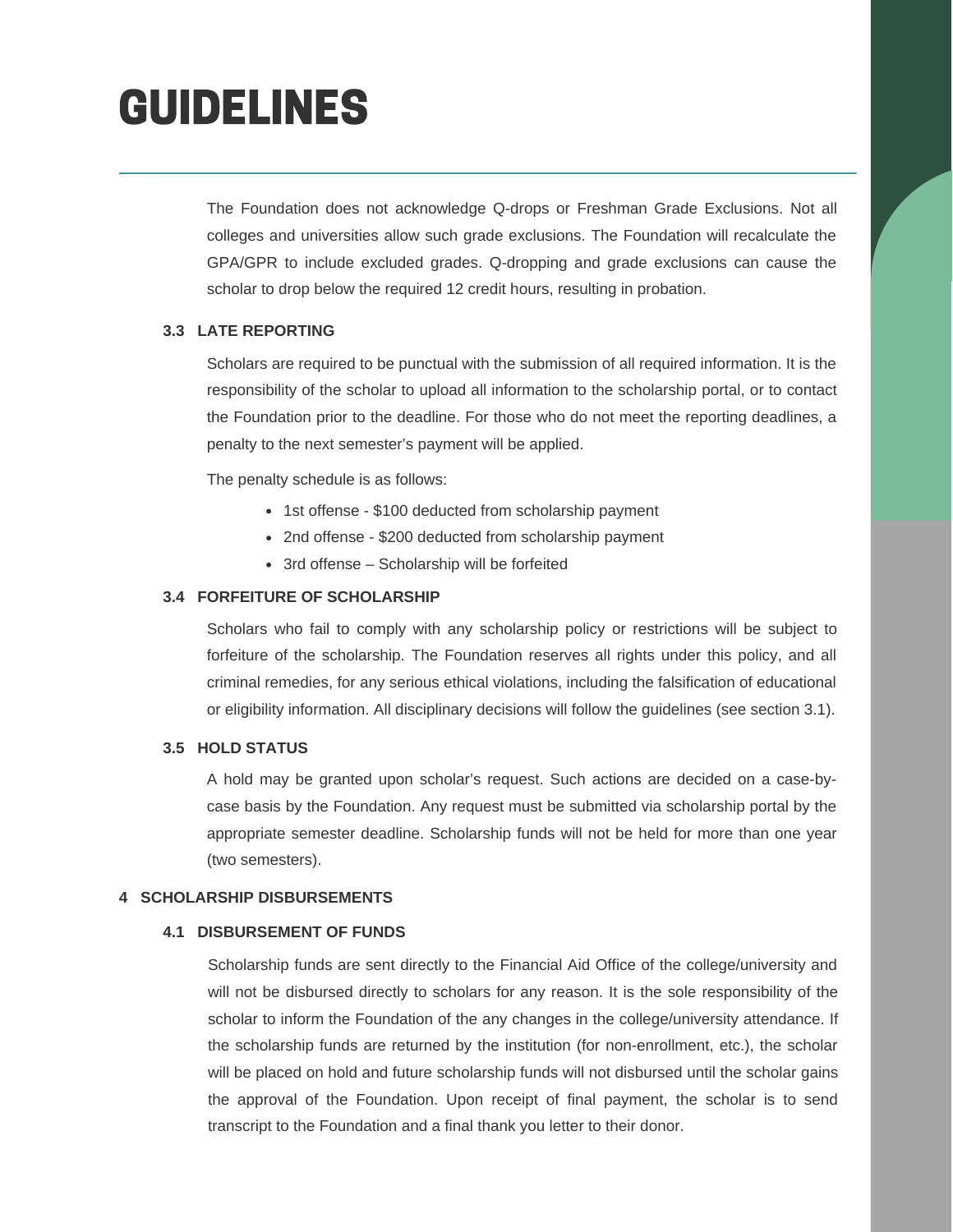The Foundation does not acknowledge Q-drops or Freshman Grade Exclusions. Not all colleges and universities allow such grade exclusions. The Foundation will recalculate the GPA/GPR to include excluded grades. Q-dropping and grade exclusions can cause the scholar to drop below the required 12 credit hours, resulting in probation.

#### **3.3 LATE REPORTING**

Scholars are required to be punctual with the submission of all required information. It is the responsibility of the scholar to upload all information to the scholarship portal, or to contact the Foundation prior to the deadline. For those who do not meet the reporting deadlines, a penalty to the next semester's payment will be applied.

The penalty schedule is as follows:

- 1st offense \$100 deducted from scholarship payment
- 2nd offense \$200 deducted from scholarship payment
- 3rd offense Scholarship will be forfeited

#### **3.4 FORFEITURE OF SCHOLARSHIP**

Scholars who fail to comply with any scholarship policy or restrictions will be subject to forfeiture of the scholarship. The Foundation reserves all rights under this policy, and all criminal remedies, for any serious ethical violations, including the falsification of educational or eligibility information. All disciplinary decisions will follow the guidelines (see section 3.1).

#### **3.5 HOLD STATUS**

A hold may be granted upon scholar's request. Such actions are decided on a case-bycase basis by the Foundation. Any request must be submitted via scholarship portal by the appropriate semester deadline. Scholarship funds will not be held for more than one year (two semesters).

#### **4 SCHOLARSHIP DISBURSEMENTS**

#### **4.1 DISBURSEMENT OF FUNDS**

Scholarship funds are sent directly to the Financial Aid Office of the college/university and will not be disbursed directly to scholars for any reason. It is the sole responsibility of the scholar to inform the Foundation of the any changes in the college/university attendance. If the scholarship funds are returned by the institution (for non-enrollment, etc.), the scholar will be placed on hold and future scholarship funds will not disbursed until the scholar gains the approval of the Foundation. Upon receipt of final payment, the scholar is to send transcript to the Foundation and a final thank you letter to their donor.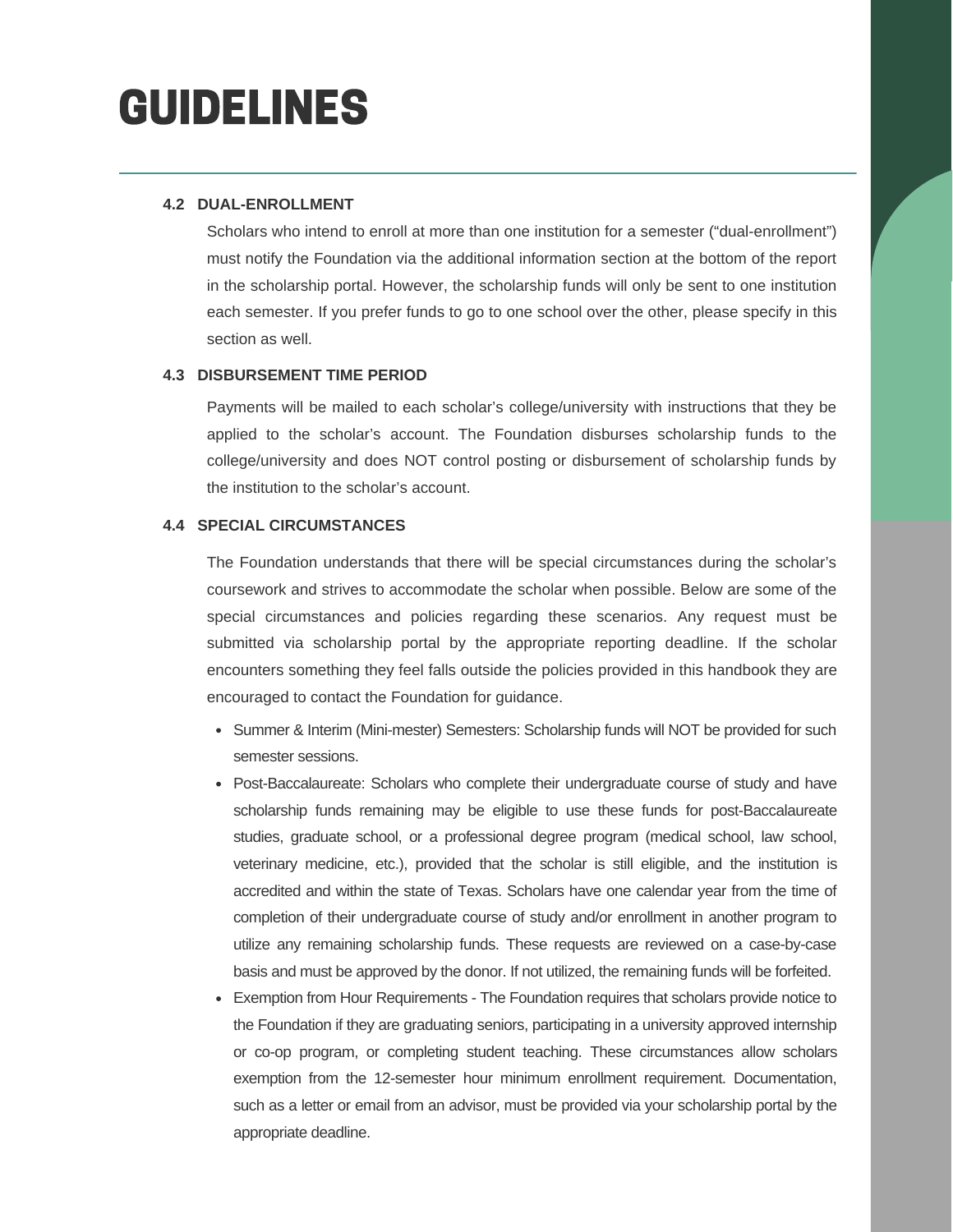#### **4.2 DUAL-ENROLLMENT**

Scholars who intend to enroll at more than one institution for a semester ("dual-enrollment") must notify the Foundation via the additional information section at the bottom of the report in the scholarship portal. However, the scholarship funds will only be sent to one institution each semester. If you prefer funds to go to one school over the other, please specify in this section as well.

#### **4.3 DISBURSEMENT TIME PERIOD**

Payments will be mailed to each scholar's college/university with instructions that they be applied to the scholar's account. The Foundation disburses scholarship funds to the college/university and does NOT control posting or disbursement of scholarship funds by the institution to the scholar's account.

#### **4.4 SPECIAL CIRCUMSTANCES**

The Foundation understands that there will be special circumstances during the scholar's coursework and strives to accommodate the scholar when possible. Below are some of the special circumstances and policies regarding these scenarios. Any request must be submitted via scholarship portal by the appropriate reporting deadline. If the scholar encounters something they feel falls outside the policies provided in this handbook they are encouraged to contact the Foundation for guidance.

- Summer & Interim (Mini-mester) Semesters: Scholarship funds will NOT be provided for such semester sessions.
- Post-Baccalaureate: Scholars who complete their undergraduate course of study and have scholarship funds remaining may be eligible to use these funds for post-Baccalaureate studies, graduate school, or a professional degree program (medical school, law school, veterinary medicine, etc.), provided that the scholar is still eligible, and the institution is accredited and within the state of Texas. Scholars have one calendar year from the time of completion of their undergraduate course of study and/or enrollment in another program to utilize any remaining scholarship funds. These requests are reviewed on a case-by-case basis and must be approved by the donor. If not utilized, the remaining funds will be forfeited.
- Exemption from Hour Requirements The Foundation requires that scholars provide notice to the Foundation if they are graduating seniors, participating in a university approved internship or co-op program, or completing student teaching. These circumstances allow scholars exemption from the 12-semester hour minimum enrollment requirement. Documentation, such as a letter or email from an advisor, must be provided via your scholarship portal by the appropriate deadline.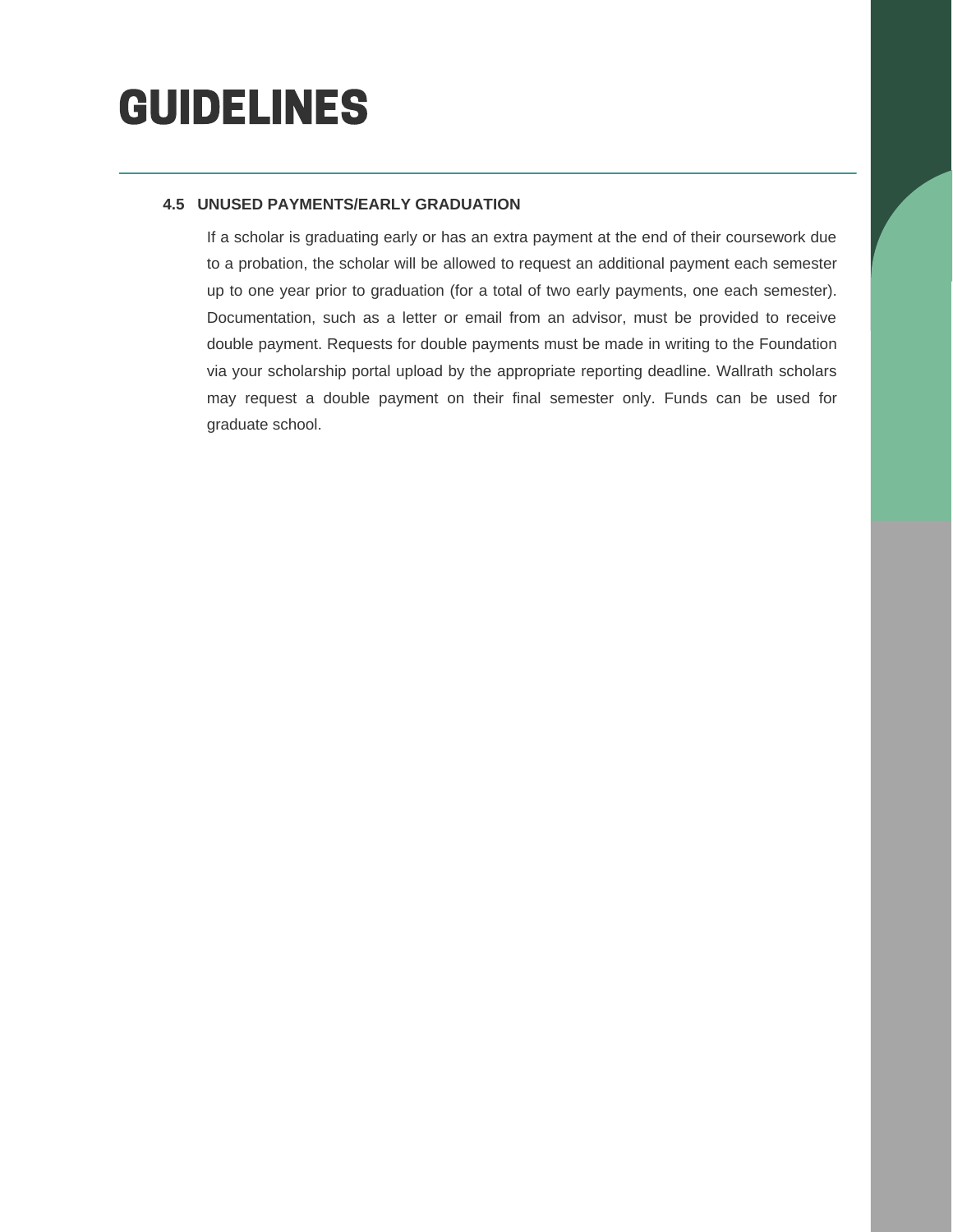#### **4.5 UNUSED PAYMENTS/EARLY GRADUATION**

If a scholar is graduating early or has an extra payment at the end of their coursework due to a probation, the scholar will be allowed to request an additional payment each semester up to one year prior to graduation (for a total of two early payments, one each semester). Documentation, such as a letter or email from an advisor, must be provided to receive double payment. Requests for double payments must be made in writing to the Foundation via your scholarship portal upload by the appropriate reporting deadline. Wallrath scholars may request a double payment on their final semester only. Funds can be used for graduate school.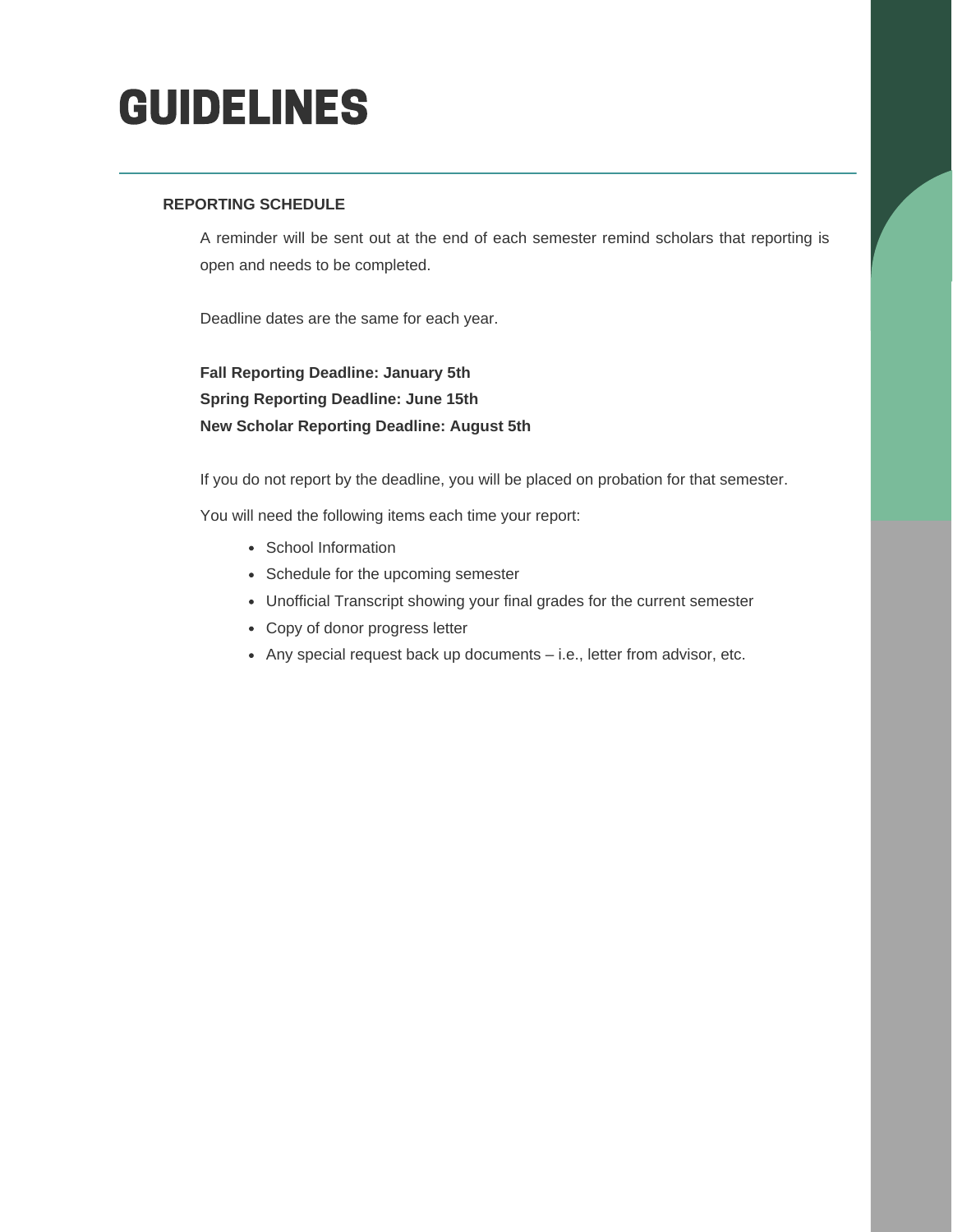#### **REPORTING SCHEDULE**

A reminder will be sent out at the end of each semester remind scholars that reporting is open and needs to be completed.

Deadline dates are the same for each year.

**Fall Reporting Deadline: January 5th Spring Reporting Deadline: June 15th New Scholar Reporting Deadline: August 5th**

If you do not report by the deadline, you will be placed on probation for that semester.

You will need the following items each time your report:

- School Information
- Schedule for the upcoming semester
- Unofficial Transcript showing your final grades for the current semester
- Copy of donor progress letter
- Any special request back up documents i.e., letter from advisor, etc.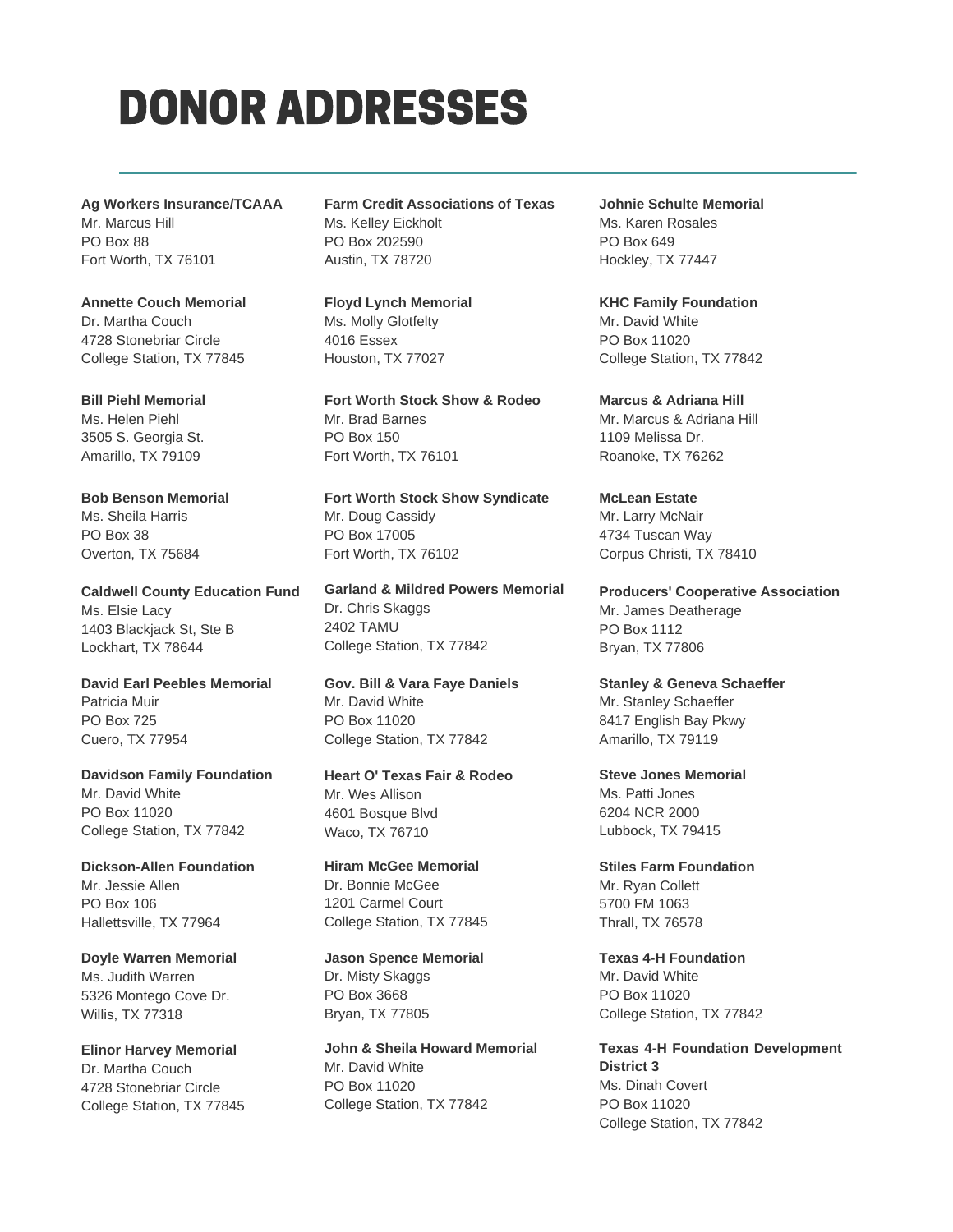### DONOR ADDRESSES

**Ag Workers Insurance/TCAAA** Mr. Marcus Hill PO Box 88 Fort Worth, TX 76101

**Annette Couch Memorial** Dr. Martha Couch 4728 Stonebriar Circle College Station, TX 77845

**Bill Piehl Memorial** Ms. Helen Piehl 3505 S. Georgia St. Amarillo, TX 79109

**Bob Benson Memorial** Ms. Sheila Harris PO Box 38 Overton, TX 75684

**Caldwell County Education Fund** Ms. Elsie Lacy 1403 Blackjack St, Ste B Lockhart, TX 78644

**David Earl Peebles Memorial** Patricia Muir PO Box 725 Cuero, TX 77954

**Davidson Family Foundation** Mr. David White PO Box 11020 College Station, TX 77842

**Dickson-Allen Foundation** Mr. Jessie Allen PO Box 106 Hallettsville, TX 77964

**Doyle Warren Memorial** Ms. Judith Warren 5326 Montego Cove Dr. Willis, TX 77318

**Elinor Harvey Memorial** Dr. Martha Couch 4728 Stonebriar Circle College Station, TX 77845 **Farm Credit Associations of Texas** Ms. Kelley Eickholt PO Box 202590 Austin, TX 78720

**Floyd Lynch Memorial** Ms. Molly Glotfelty 4016 Essex Houston, TX 77027

**Fort Worth Stock Show & Rodeo** Mr. Brad Barnes PO Box 150 Fort Worth, TX 76101

**Fort Worth Stock Show Syndicate** Mr. Doug Cassidy PO Box 17005 Fort Worth, TX 76102

**Garland & Mildred Powers Memorial** Dr. Chris Skaggs 2402 TAMU College Station, TX 77842

**Gov. Bill & Vara Faye Daniels** Mr. David White PO Box 11020 College Station, TX 77842

**Heart O' Texas Fair & Rodeo** Mr. Wes Allison 4601 Bosque Blvd Waco, TX 76710

**Hiram McGee Memorial** Dr. Bonnie McGee 1201 Carmel Court College Station, TX 77845

**Jason Spence Memorial** Dr. Misty Skaggs PO Box 3668 Bryan, TX 77805

**John & Sheila Howard Memorial** Mr. David White PO Box 11020 College Station, TX 77842

**Johnie Schulte Memorial** Ms. Karen Rosales PO Box 649 Hockley, TX 77447

**KHC Family Foundation** Mr. David White PO Box 11020 College Station, TX 77842

**Marcus & Adriana Hill** Mr. Marcus & Adriana Hill 1109 Melissa Dr. Roanoke, TX 76262

**McLean Estate** Mr. Larry McNair 4734 Tuscan Way Corpus Christi, TX 78410

**Producers' Cooperative Association** Mr. James Deatherage PO Box 1112 Bryan, TX 77806

**Stanley & Geneva Schaeffer** Mr. Stanley Schaeffer 8417 English Bay Pkwy Amarillo, TX 79119

**Steve Jones Memorial** Ms. Patti Jones 6204 NCR 2000 Lubbock, TX 79415

**Stiles Farm Foundation** Mr. Ryan Collett 5700 FM 1063 Thrall, TX 76578

**Texas 4-H Foundation** Mr. David White PO Box 11020 College Station, TX 77842

**Texas 4-H Foundation Development District 3** Ms. Dinah Covert PO Box 11020 College Station, TX 77842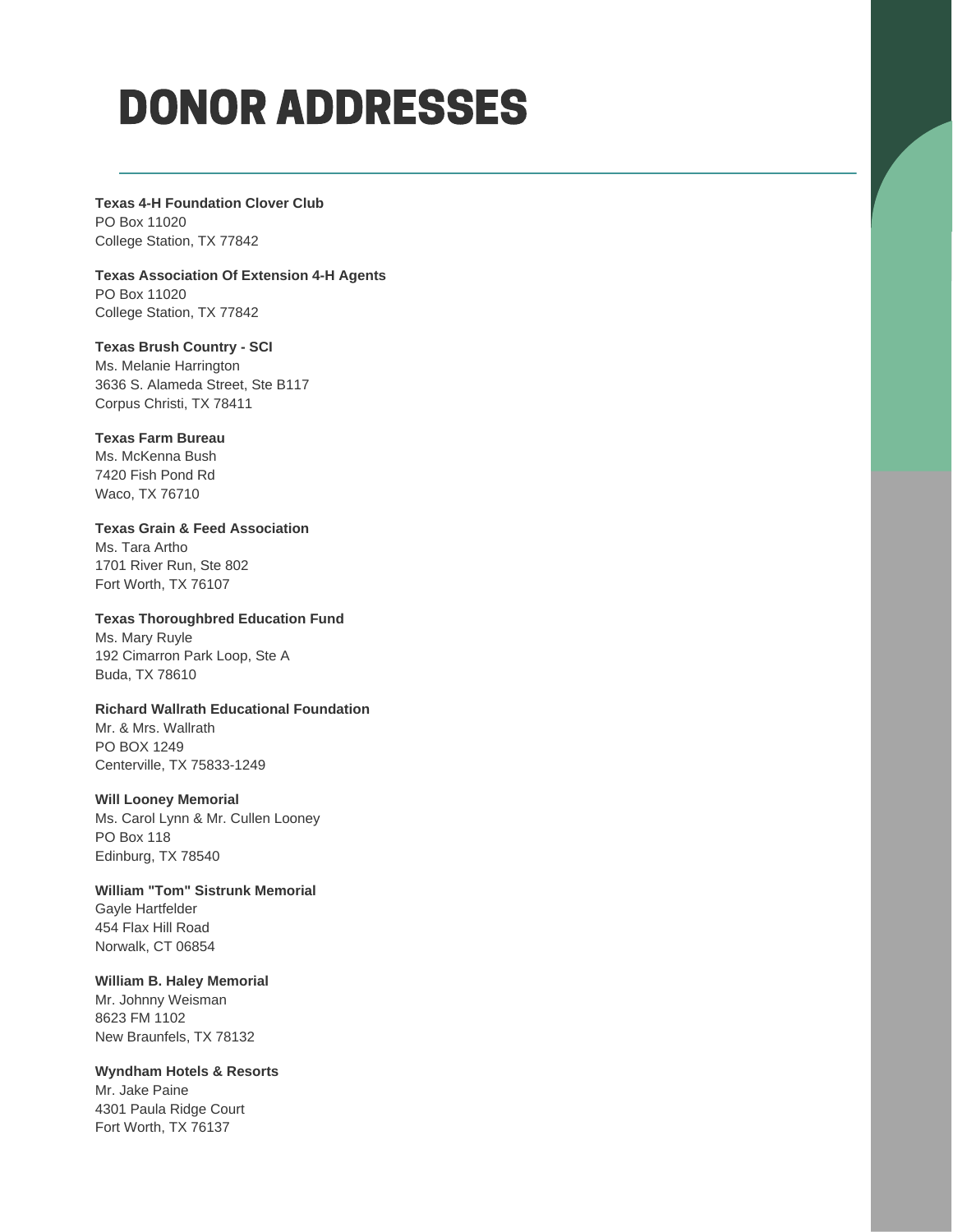### DONOR ADDRESSES

**Texas 4-H Foundation Clover Club** PO Box 11020 College Station, TX 77842

**Texas Association Of Extension 4-H Agents**

PO Box 11020 College Station, TX 77842

**Texas Brush Country - SCI**

Ms. Melanie Harrington 3636 S. Alameda Street, Ste B117 Corpus Christi, TX 78411

#### **Texas Farm Bureau**

Ms. McKenna Bush 7420 Fish Pond Rd Waco, TX 76710

**Texas Grain & Feed Association** Ms. Tara Artho 1701 River Run, Ste 802 Fort Worth, TX 76107

**Texas Thoroughbred Education Fund** Ms. Mary Ruyle 192 Cimarron Park Loop, Ste A Buda, TX 78610

#### **Richard Wallrath Educational Foundation**

Mr. & Mrs. Wallrath PO BOX 1249 Centerville, TX 75833-1249

#### **Will Looney Memorial**

Ms. Carol Lynn & Mr. Cullen Looney PO Box 118 Edinburg, TX 78540

**William "Tom" Sistrunk Memorial** Gayle Hartfelder 454 Flax Hill Road Norwalk, CT 06854

#### **William B. Haley Memorial**

Mr. Johnny Weisman 8623 FM 1102 New Braunfels, TX 78132

#### **Wyndham Hotels & Resorts**

Mr. Jake Paine 4301 Paula Ridge Court Fort Worth, TX 76137